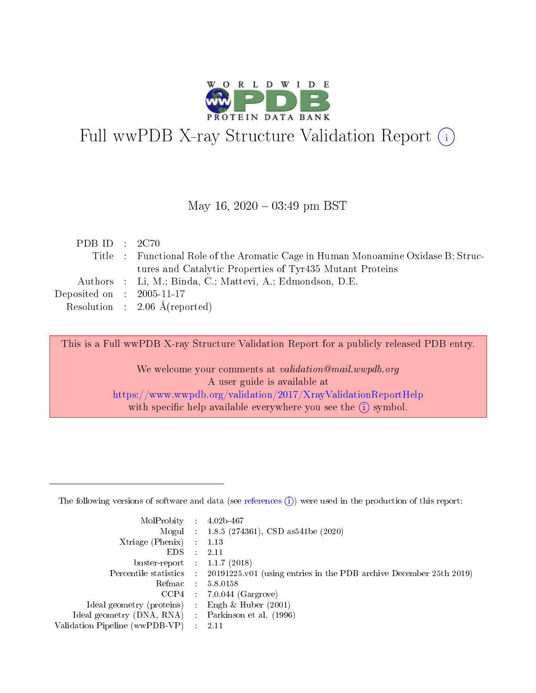

# Full wwPDB X-ray Structure Validation Report (i)

#### May 16,  $2020 - 03:49$  pm BST

| PDB ID : $2C70$             |                                                                                   |
|-----------------------------|-----------------------------------------------------------------------------------|
|                             | Title : Functional Role of the Aromatic Cage in Human Monoamine Oxidase B: Struc- |
|                             | tures and Catalytic Properties of Tyr435 Mutant Proteins                          |
|                             | Authors : Li, M.; Binda, C.; Mattevi, A.; Edmondson, D.E.                         |
| Deposited on : $2005-11-17$ |                                                                                   |
|                             | Resolution : $2.06 \text{ Å}$ (reported)                                          |

This is a Full wwPDB X-ray Structure Validation Report for a publicly released PDB entry.

We welcome your comments at validation@mail.wwpdb.org A user guide is available at <https://www.wwpdb.org/validation/2017/XrayValidationReportHelp> with specific help available everywhere you see the  $(i)$  symbol.

The following versions of software and data (see [references](https://www.wwpdb.org/validation/2017/XrayValidationReportHelp#references)  $(1)$ ) were used in the production of this report:

| MolProbity                     | $\mathcal{L}_{\rm{max}}$ | $4.02b - 467$                                                                |
|--------------------------------|--------------------------|------------------------------------------------------------------------------|
|                                |                          | Mogul : $1.8.5$ (274361), CSD as 541be (2020)                                |
| $X$ triage (Phenix) :          |                          | 1.13                                                                         |
| EDS.                           |                          | 2.11                                                                         |
| buster-report : $1.1.7$ (2018) |                          |                                                                              |
| Percentile statistics :        |                          | $20191225 \text{ v}01$ (using entries in the PDB archive December 25th 2019) |
| Refmac                         |                          | 5.8.0158                                                                     |
| $CCP4$ :                       |                          | $7.0.044$ (Gargrove)                                                         |
| Ideal geometry (proteins) :    |                          | Engh $\&$ Huber (2001)                                                       |
| Ideal geometry (DNA, RNA) :    |                          | Parkinson et al. (1996)                                                      |
| Validation Pipeline (wwPDB-VP) | $\mathcal{L}$            | -2.11                                                                        |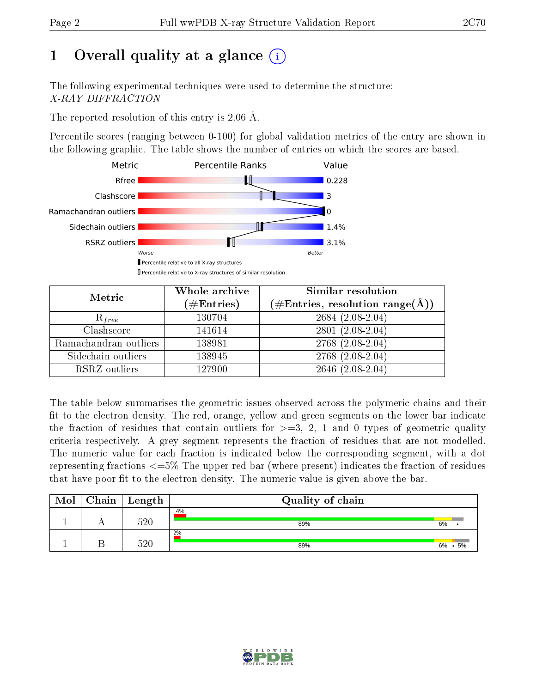# 1 [O](https://www.wwpdb.org/validation/2017/XrayValidationReportHelp#overall_quality)verall quality at a glance  $(i)$

The following experimental techniques were used to determine the structure: X-RAY DIFFRACTION

The reported resolution of this entry is 2.06 Å.

Percentile scores (ranging between 0-100) for global validation metrics of the entry are shown in the following graphic. The table shows the number of entries on which the scores are based.



| Metric                | Whole archive<br>$(\#\mathrm{Entries})$ | <b>Similar resolution</b><br>$(\#\text{Entries}, \text{resolution range}(\text{\AA}))$ |
|-----------------------|-----------------------------------------|----------------------------------------------------------------------------------------|
| $R_{free}$            | 130704                                  | $2684(2.08-2.04)$                                                                      |
| Clashscore            | 141614                                  | $2801(2.08-2.04)$                                                                      |
| Ramachandran outliers | 138981                                  | $2768$ $(2.08-2.04)$                                                                   |
| Sidechain outliers    | 138945                                  | 2768 (2.08-2.04)                                                                       |
| RSRZ outliers         | 127900                                  | $2646$ $(2.08-2.04)$                                                                   |

The table below summarises the geometric issues observed across the polymeric chains and their fit to the electron density. The red, orange, yellow and green segments on the lower bar indicate the fraction of residues that contain outliers for  $>=3, 2, 1$  and 0 types of geometric quality criteria respectively. A grey segment represents the fraction of residues that are not modelled. The numeric value for each fraction is indicated below the corresponding segment, with a dot representing fractions  $\epsilon=5\%$  The upper red bar (where present) indicates the fraction of residues that have poor fit to the electron density. The numeric value is given above the bar.

| Mol | Chain | $\vert$ Length | Quality of chain |              |  |
|-----|-------|----------------|------------------|--------------|--|
|     |       | 520            | 4%<br>89%        | 6%           |  |
|     |       | 520            | 2%<br>89%        | 6%<br>$.5\%$ |  |

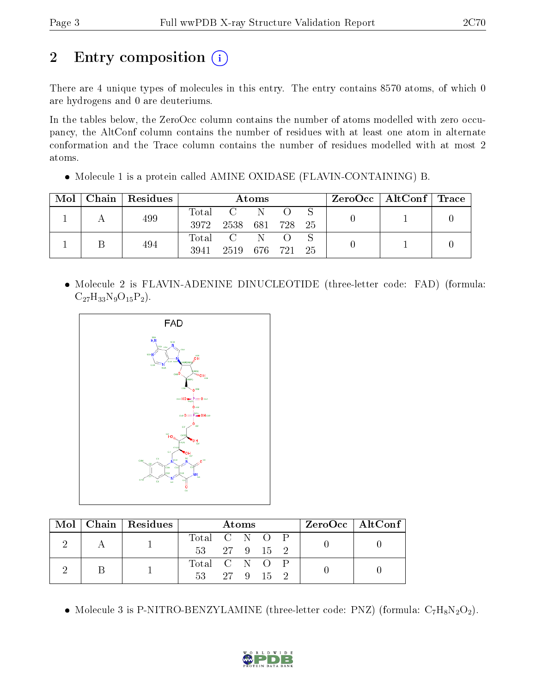# 2 Entry composition (i)

There are 4 unique types of molecules in this entry. The entry contains 8570 atoms, of which 0 are hydrogens and 0 are deuteriums.

In the tables below, the ZeroOcc column contains the number of atoms modelled with zero occupancy, the AltConf column contains the number of residues with at least one atom in alternate conformation and the Trace column contains the number of residues modelled with at most 2 atoms.

Molecule 1 is a protein called AMINE OXIDASE (FLAVIN-CONTAINING) B.

| Mol | Chain   Residues | Atoms |                 |  |  | $\text{ZeroOcc}$   AltConf   Trace |  |  |
|-----|------------------|-------|-----------------|--|--|------------------------------------|--|--|
|     | 499              | Total | $C-N$           |  |  |                                    |  |  |
|     |                  | 3972  | 2538 681 728 25 |  |  |                                    |  |  |
|     | 494              | Total | CN.             |  |  |                                    |  |  |
|     |                  | 3941  | 2519 676 721 25 |  |  |                                    |  |  |

• Molecule 2 is FLAVIN-ADENINE DINUCLEOTIDE (three-letter code: FAD) (formula:  $C_{27}H_{33}N_9O_{15}P_2$ .



|  | Mol   Chain   Residues | <b>Atoms</b>               |  |  |  | ZeroOcc   AltConf |  |  |
|--|------------------------|----------------------------|--|--|--|-------------------|--|--|
|  |                        | Total C N O P              |  |  |  |                   |  |  |
|  |                        | $53 \t 27 \t 9 \t 15 \t 2$ |  |  |  |                   |  |  |
|  |                        | Total C N O P              |  |  |  |                   |  |  |
|  |                        | 53 27 9 15 2               |  |  |  |                   |  |  |

• Molecule 3 is P-NITRO-BENZYLAMINE (three-letter code: PNZ) (formula:  $C_7H_8N_2O_2$ ).

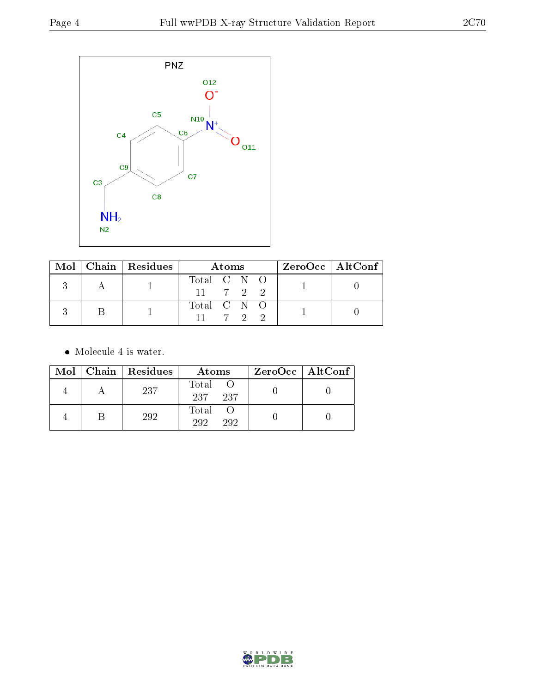

|  | Mol   Chain   Residues | Atoms                               |  |  |  | $ZeroOcc \   \$ AltConf |
|--|------------------------|-------------------------------------|--|--|--|-------------------------|
|  |                        | Total C N O                         |  |  |  |                         |
|  |                        | $11 \t 7 \t 2 \t 2$                 |  |  |  |                         |
|  |                        | Total $C \overline{N} \overline{O}$ |  |  |  |                         |
|  |                        | $11 \t 7 \t 9 \t 9$                 |  |  |  |                         |

• Molecule 4 is water.

|  | Mol   Chain   Residues | Atoms               | $ZeroOcc \   \ AltConf \  $ |
|--|------------------------|---------------------|-----------------------------|
|  | 237                    | Total<br>237<br>237 |                             |
|  | 292                    | Total<br>292<br>292 |                             |

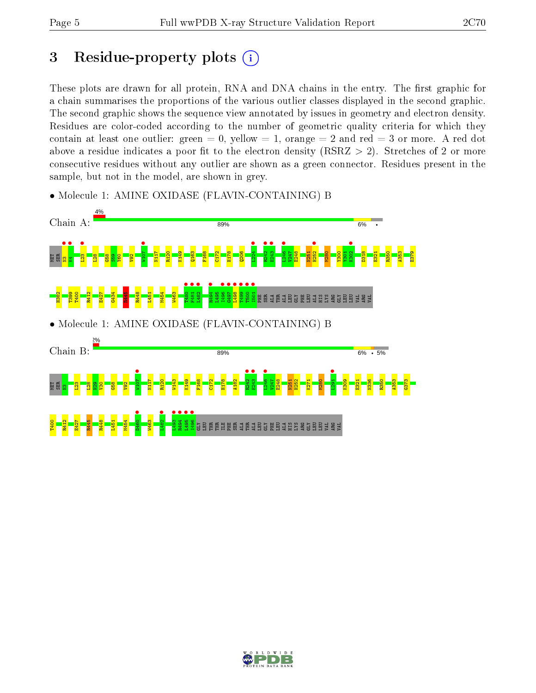# 3 Residue-property plots  $(i)$

These plots are drawn for all protein, RNA and DNA chains in the entry. The first graphic for a chain summarises the proportions of the various outlier classes displayed in the second graphic. The second graphic shows the sequence view annotated by issues in geometry and electron density. Residues are color-coded according to the number of geometric quality criteria for which they contain at least one outlier: green  $= 0$ , yellow  $= 1$ , orange  $= 2$  and red  $= 3$  or more. A red dot above a residue indicates a poor fit to the electron density (RSRZ  $> 2$ ). Stretches of 2 or more consecutive residues without any outlier are shown as a green connector. Residues present in the sample, but not in the model, are shown in grey.



• Molecule 1: AMINE OXIDASE (FLAVIN-CONTAINING) B

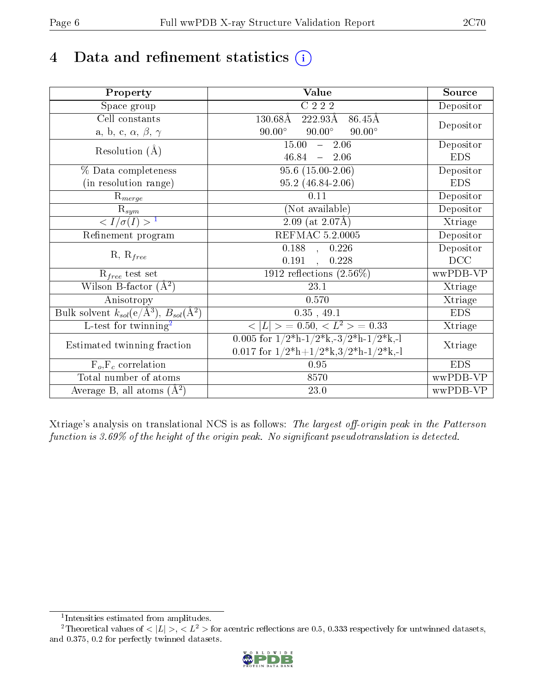# 4 Data and refinement statistics  $(i)$

| Property                                                             | <b>Value</b>                                                                          | Source     |
|----------------------------------------------------------------------|---------------------------------------------------------------------------------------|------------|
| Space group                                                          | $C$ 222                                                                               | Depositor  |
| Cell constants                                                       | $130.68\text{\AA}$<br>$222.93\text{\AA}$<br>$86.45\text{\AA}$                         |            |
| a, b, c, $\alpha$ , $\beta$ , $\gamma$                               | $90.00^\circ$<br>$90.00^\circ$<br>$90.00^\circ$                                       | Depositor  |
| Resolution $(\AA)$                                                   | 15.00<br>2.06<br>$\frac{1}{2}$                                                        | Depositor  |
|                                                                      | $46.84 = 2.06$                                                                        | <b>EDS</b> |
| % Data completeness                                                  | $95.6(15.00-2.06)$                                                                    | Depositor  |
| (in resolution range)                                                | 95.2 (46.84-2.06)                                                                     | <b>EDS</b> |
| $R_{merge}$                                                          | 0.11                                                                                  | Depositor  |
| $\mathbf{R}_{sym}$                                                   | (Not available)                                                                       | Depositor  |
| $\frac{1}{\sigma(I)}$                                                | $2.09$ (at 2.07Å)                                                                     | Xtriage    |
| Refinement program                                                   | <b>REFMAC 5.2.0005</b>                                                                | Depositor  |
|                                                                      | $0.188$ , $0.226$                                                                     | Depositor  |
| $R, R_{free}$                                                        | 0.191<br>0.228<br>$\overline{\phantom{a}}$                                            | DCC        |
| $R_{free}$ test set                                                  | 1912 reflections $(2.56\%)$                                                           | wwPDB-VP   |
| Wilson B-factor $(A^2)$                                              | 23.1                                                                                  | Xtriage    |
| Anisotropy                                                           | 0.570                                                                                 | Xtriage    |
| Bulk solvent $k_{sol}(e/\mathring{A}^3)$ , $B_{sol}(\mathring{A}^2)$ | 0.35, 49.1                                                                            | <b>EDS</b> |
| $\overline{L-test}$ for twinning <sup>2</sup>                        | $< L >$ = 0.50, $< L^2 >$ = 0.33                                                      | Xtriage    |
| Estimated twinning fraction                                          | 0.005 for $1/2^{\ast}h$ -1/2 <sup>*</sup> k,-3/2 <sup>*</sup> h-1/2 <sup>*</sup> k,-1 | Xtriage    |
|                                                                      | 0.017 for $1/2^*h+1/2^*k$ , $3/2^*h-1/2^*k$ , -1                                      |            |
| $F_o, F_c$ correlation                                               | 0.95                                                                                  | <b>EDS</b> |
| Total number of atoms                                                | 8570                                                                                  | wwPDB-VP   |
| Average B, all atoms $(A^2)$                                         | 23.0                                                                                  | wwPDB-VP   |

Xtriage's analysis on translational NCS is as follows: The largest off-origin peak in the Patterson function is  $3.69\%$  of the height of the origin peak. No significant pseudotranslation is detected.

<sup>&</sup>lt;sup>2</sup>Theoretical values of  $\langle |L| \rangle$ ,  $\langle L^2 \rangle$  for acentric reflections are 0.5, 0.333 respectively for untwinned datasets, and 0.375, 0.2 for perfectly twinned datasets.



<span id="page-5-1"></span><span id="page-5-0"></span><sup>1</sup> Intensities estimated from amplitudes.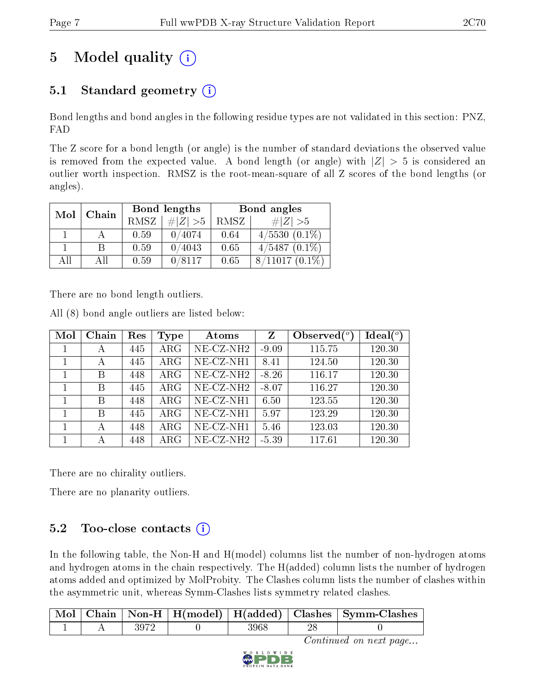# 5 Model quality  $(i)$

## 5.1 Standard geometry  $(i)$

Bond lengths and bond angles in the following residue types are not validated in this section: PNZ, FAD

The Z score for a bond length (or angle) is the number of standard deviations the observed value is removed from the expected value. A bond length (or angle) with  $|Z| > 5$  is considered an outlier worth inspection. RMSZ is the root-mean-square of all Z scores of the bond lengths (or angles).

| Mol | Chain |      | Bond lengths | Bond angles |                  |  |
|-----|-------|------|--------------|-------------|------------------|--|
|     |       | RMSZ | $\# Z  > 5$  | RMSZ        | # $ Z  > 5$      |  |
|     |       | 0.59 | 0/4074       | 0.64        | $4/5530(0.1\%)$  |  |
|     | В     | 0.59 | 0/4043       | 0.65        | $4/5487(0.1\%)$  |  |
| All | Αll   | 0.59 | 0/8117       | 0.65        | $8/11017(0.1\%)$ |  |

There are no bond length outliers.

All (8) bond angle outliers are listed below:

| Mol | Chain | Res | Type       | Atoms                      | Z       | Observed $(°)$ | $Ideal(^o)$ |
|-----|-------|-----|------------|----------------------------|---------|----------------|-------------|
|     | А     | 445 | $\rm{ARG}$ | $NE$ $CZ$ -NH <sub>2</sub> | $-9.09$ | 115.75         | 120.30      |
|     | А     | 445 | $\rm{ARG}$ | $NE$ -CZ-NH1               | 8.41    | 124.50         | 120.30      |
|     | В     | 448 | $\rm{ARG}$ | $NE$ -CZ-NH <sub>2</sub>   | $-8.26$ | 116.17         | 120.30      |
|     | В     | 445 | $\rm{ARG}$ | $NE$ -CZ-NH <sub>2</sub>   | $-8.07$ | 116.27         | 120.30      |
|     | В     | 448 | $\rm{ARG}$ | NE-CZ-NH1                  | 6.50    | 123.55         | 120.30      |
|     | B     | 445 | $\rm{ARG}$ | $NE- CZ-NH1$               | 5.97    | 123.29         | 120.30      |
|     | А     | 448 | $\rm{ARG}$ | $NE- CZ-NH1$               | 5.46    | 123.03         | 120.30      |
|     |       | 448 | ARG        | $NE-CZ-NH2$                | $-5.39$ | 117.61         | 120.30      |

There are no chirality outliers.

There are no planarity outliers.

## $5.2$  Too-close contacts  $(i)$

In the following table, the Non-H and H(model) columns list the number of non-hydrogen atoms and hydrogen atoms in the chain respectively. The H(added) column lists the number of hydrogen atoms added and optimized by MolProbity. The Clashes column lists the number of clashes within the asymmetric unit, whereas Symm-Clashes lists symmetry related clashes.

|  |  |      | Mol Chain Non-H   H(model)   H(added)   Clashes   Symm-Clashes |
|--|--|------|----------------------------------------------------------------|
|  |  | 3968 |                                                                |

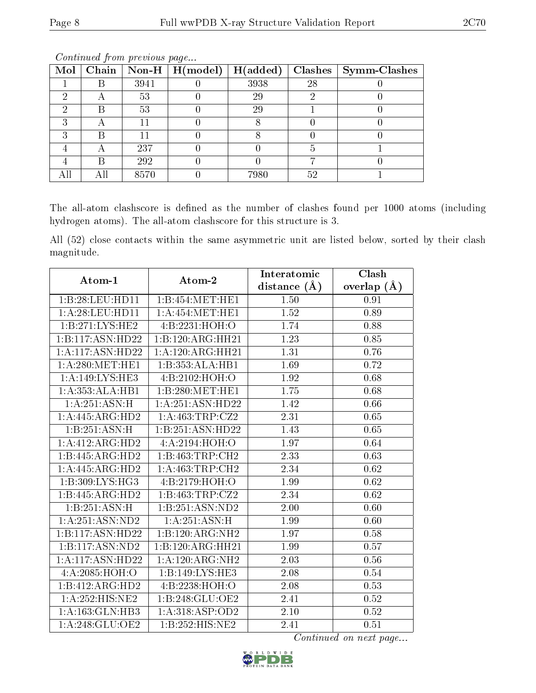| Mol | $\overline{\mathbf{C}}$ hain |      | $\mathbb{N}$ on-H   H(model) | H(added) | Clashes | $\mid$ Symm-Clashes |
|-----|------------------------------|------|------------------------------|----------|---------|---------------------|
|     |                              | 3941 |                              | 3938     | 28      |                     |
|     |                              | 53   |                              | 29       |         |                     |
| 6)  |                              | 53   |                              | 29       |         |                     |
|     |                              |      |                              |          |         |                     |
|     |                              |      |                              |          |         |                     |
|     |                              | 237  |                              |          |         |                     |
|     |                              | 292  |                              |          |         |                     |
|     |                              | 8570 |                              | 7980     | 52      |                     |

The all-atom clashscore is defined as the number of clashes found per 1000 atoms (including hydrogen atoms). The all-atom clashscore for this structure is 3.

All (52) close contacts within the same asymmetric unit are listed below, sorted by their clash magnitude.

| Atom-1                     | Atom-2               | Interatomic      | Clash         |  |
|----------------------------|----------------------|------------------|---------------|--|
|                            |                      | distance $(\AA)$ | overlap $(A)$ |  |
| 1:B:28:LEU:HDI1            | 1:B:454:MET:HE1      | 1.50             | 0.91          |  |
| 1: A:28:LEU:HD11           | 1: A:454: MET:HE1    | 1.52             | 0.89          |  |
| 1:B:271:LYS:HE2            | 4:B:2231:HOH:O       | 1.74             | 0.88          |  |
| 1:B:117:ASN:HD22           | 1:B:120:ARG:HH21     | 1.23             | 0.85          |  |
| 1:A:117:ASN:HD22           | 1: A:120:ARG:HH21    | 1.31             | 0.76          |  |
| 1: A:280:MET:HE1           | 1:B:353:ALA:HB1      | 1.69             | 0.72          |  |
| 1:A:149:LYS:HE3            | 4:B:2102:HOH:O       | 1.92             | 0.68          |  |
| 1:A:353:ALA:HB1            | 1:B:280:MET:HE1      | 1.75             | 0.68          |  |
| $1:A:251:\overline{ASN:H}$ | 1: A: 251: ASN: HD22 | 1.42             | 0.66          |  |
| 1:A:445:ARG:HD2            | 1: A: 463: TRP: CZ2  | 2.31             | 0.65          |  |
| 1:B:251:ASN:H              | 1:B:251:ASN:HD22     | 1.43             | 0.65          |  |
| 1:A:412:ARG:HD2            | 4:A:2194:HOH:O       | 1.97             | 0.64          |  |
| 1:B:445:ARG:HD2            | 1:B:463:TRP:CH2      | 2.33             | 0.63          |  |
| 1:A:445:ARG:HD2            | 1: A: 463: TRP: CH2  | 2.34             | 0.62          |  |
| 1:B:309:LYS:HG3            | 4: B: 2179: HOH:O    | 1.99             | 0.62          |  |
| 1:B:445:ARG:HD2            | 1: B: 463: TRP: CZ2  | 2.34             | 0.62          |  |
| 1:B:251:ASN:H              | 1:B:251:ASN:ND2      | 2.00             | 0.60          |  |
| 1: A:251: ASN:ND2          | 1: A:251: ASN:H      | 1.99             | $0.60\,$      |  |
| 1:B:117:ASN:HD22           | 1:B:120:ARG:NH2      | 1.97             | 0.58          |  |
| 1:B:117:ASN:ND2            | 1:B:120:ARG:HH21     | 1.99             | 0.57          |  |
| 1:A:117:ASN:HD22           | 1:A:120:ARG:NH2      | 2.03             | 0.56          |  |
| 4: A:2085: HOH:O           | 1:B:149:LYS:HE3      | 2.08             | 0.54          |  |
| 1:B:412:ARG:HD2            | 4: B: 2238: HOH:O    | 2.08             | 0.53          |  |
| 1:A:252:HIS:NE2            | 1:B:248:GLU:OE2      | 2.41             | $0.52\,$      |  |
| 1:A:163:GLN:HB3            | 1: A:318: ASP:OD2    | 2.10             | 0.52          |  |
| 1: A:248: GLU:OE2          | 1:B:252:HIS:NE2      | 2.41             | 0.51          |  |

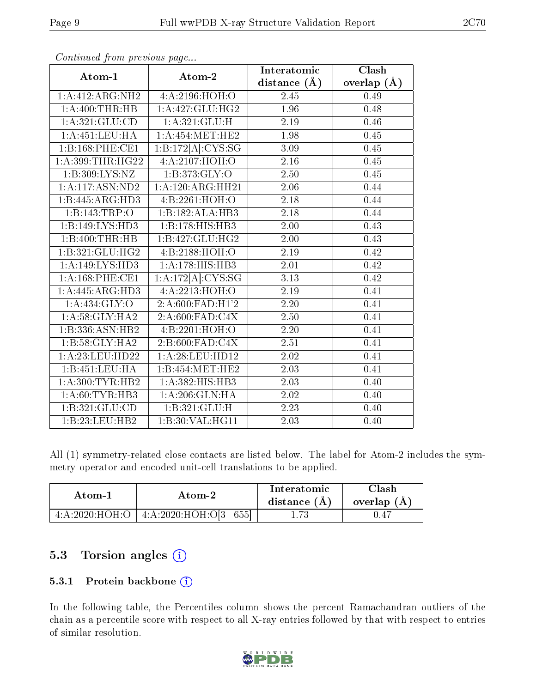|                    |                             | Interatomic       | Clash             |
|--------------------|-----------------------------|-------------------|-------------------|
| Atom-1             | Atom-2                      | distance $(A)$    | overlap $(\AA)$   |
| 1:A:412:ARG:NH2    | 4:A:2196:HOH:O              | 2.45              | 0.49              |
| 1:A:400:THR:HB     | 1:A:427:GLU:HG2             | 1.96              | 0.48              |
| 1:A:321:GLU:CD     | 1: A:321: GLU: H            | 2.19              | 0.46              |
| 1: A: 451: LEU: HA | 1: A: 454: MET: HE2         | 1.98              | $0.45\,$          |
| 1:B:168:PHE:CE1    | 1:B:172[A]:CYS:SG           | 3.09              | 0.45              |
| 1: A:399:THR:HG22  | 4:A:2107:HOH:O              | 2.16              | 0.45              |
| 1:B:309:LYS:NZ     | $1: \overline{B:373:GLY:O}$ | 2.50              | 0.45              |
| 1:A:117:ASN:ND2    | 1:A:120:ARG:HH21            | 2.06              | 0.44              |
| 1:B:445:ARG:HD3    | 4:B:2261:HOH:O              | 2.18              | 0.44              |
| 1:B:143:TRP:O      | 1:B:182:ALA:HB3             | 2.18              | 0.44              |
| 1:B:149:LYS:HD3    | 1:B:178:HIS:HB3             | 2.00              | 0.43              |
| 1:B:400:THR:HB     | 1:B:427:GLU:HG2             | 2.00              | 0.43              |
| 1:B:321:GLU:HG2    | 4: B: 2188: HOH:O           | 2.19              | 0.42              |
| 1:A:149:LYS:HD3    | 1:A:178:HIS:HB3             | 2.01              | 0.42              |
| 1: A:168:PHE:CE1   | 1:A:172[A]:CYS:SG           | 3.13              | 0.42              |
| 1:A:445:ARG:HD3    | 4:A:2213:HOH:O              | 2.19              | 0.41              |
| 1: A: 434: GLY: O  | 2:A:600:FAD:H1'2            | 2.20              | 0.41              |
| 1: A:58: GLY: HA2  | 2:A:600:FAD:C4X             | 2.50              | 0.41              |
| 1:B:336:ASN:HB2    | 4:B:2201:HOH:O              | 2.20              | 0.41              |
| 1:B:58:GLY:HA2     | 2:B:600:FAD:C4X             | 2.51              | 0.41              |
| 1: A:23: LEU:HD22  | 1:A:28:LEU:HD12             | $\overline{2.02}$ | $\overline{0.41}$ |
| 1:B:451:LEU:HA     | 1:B:454:MET:HE2             | 2.03              | 0.41              |
| 1:A:300:TYR:HB2    | 1:A:382:HIS:HB3             | 2.03              | 0.40              |
| 1: A:60:TYR:HB3    | 1: A:206: GLN: HA           | 2.02              | 0.40              |
| 1:B:321:GLU:CD     | 1:B:321:GLU:H               | 2.23              | 0.40              |
| 1:B:23:LEU:HB2     | 1:B:30:VAL:HG11             | $\overline{2.03}$ | 0.40              |

All (1) symmetry-related close contacts are listed below. The label for Atom-2 includes the symmetry operator and encoded unit-cell translations to be applied.

| Atom-1                        | Atom-2                    | Interatomic<br>distance $(A)$ | $\gamma$ lash<br>overlap $(A)$ |
|-------------------------------|---------------------------|-------------------------------|--------------------------------|
| $-4.4.2020 \cdot HOH \cdot O$ | 4: A:2020:HOH:O[3]<br>655 | $1.73\,$                      | . 47                           |

### 5.3 Torsion angles (i)

#### 5.3.1 Protein backbone (i)

In the following table, the Percentiles column shows the percent Ramachandran outliers of the chain as a percentile score with respect to all X-ray entries followed by that with respect to entries of similar resolution.

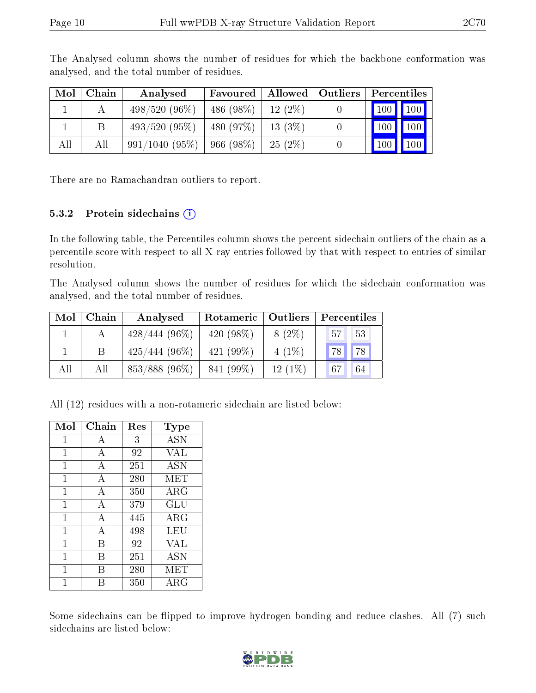| Mol | Chain | Analysed         | Favoured  | $\mid$ Allowed $\mid$ Outliers $\mid$ | Percentiles                      |
|-----|-------|------------------|-----------|---------------------------------------|----------------------------------|
|     |       | $498/520(96\%)$  | 486 (98%) | $12(2\%)$                             | 100 100                          |
|     |       | $493/520(95\%)$  | 480 (97%) | 13(3%)                                | $\vert$ 100<br>$\vert 100 \vert$ |
| All | All   | $991/1040(95\%)$ | 966(98%)  | 25(2%)                                | $\vert$ 100 $\vert$<br>100       |

The Analysed column shows the number of residues for which the backbone conformation was analysed, and the total number of residues.

There are no Ramachandran outliers to report.

#### 5.3.2 Protein sidechains  $(i)$

In the following table, the Percentiles column shows the percent sidechain outliers of the chain as a percentile score with respect to all X-ray entries followed by that with respect to entries of similar resolution.

The Analysed column shows the number of residues for which the sidechain conformation was analysed, and the total number of residues.

| Mol | Chain | Analysed         |              | Rotameric   Outliers<br>Percentiles |                       |
|-----|-------|------------------|--------------|-------------------------------------|-----------------------|
|     |       | $428/444(96\%)$  | 420 $(98\%)$ | $8(2\%)$                            | 53<br>57 <sup>1</sup> |
|     |       | $425/444(96\%)$  | 421 $(99\%)$ | $4(1\%)$                            | 78<br>78 <sub>1</sub> |
| All | All   | $853/888$ (96\%) | 841 (99%)    | $12(1\%)$                           | 67<br>64              |

All (12) residues with a non-rotameric sidechain are listed below:

| Mol          | Chain | Res | <b>Type</b> |
|--------------|-------|-----|-------------|
| 1            | А     | 3   | <b>ASN</b>  |
| 1            | А     | 92  | VAL         |
| 1            | A     | 251 | <b>ASN</b>  |
| $\mathbf{1}$ | A     | 280 | MET         |
| 1            | A     | 350 | $\rm{ARG}$  |
| 1            | A     | 379 | GLU         |
| $\mathbf{1}$ | A     | 445 | ${\rm ARG}$ |
| 1            | А     | 498 | LEU         |
| 1            | В     | 92  | VAL         |
| 1            | В     | 251 | <b>ASN</b>  |
| 1            | В     | 280 | MET         |
|              | В     | 350 | ARG         |

Some sidechains can be flipped to improve hydrogen bonding and reduce clashes. All (7) such sidechains are listed below:

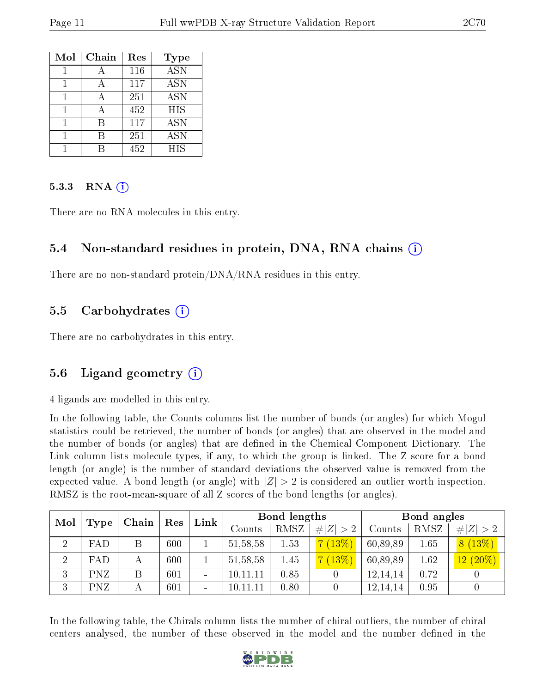| Mol | Chain | Res | <b>Type</b>      |
|-----|-------|-----|------------------|
|     |       | 116 | $\overline{ASN}$ |
|     |       | 117 | <b>ASN</b>       |
|     |       | 251 | <b>ASN</b>       |
|     | А     | 452 | <b>HIS</b>       |
|     | В     | 117 | <b>ASN</b>       |
|     |       | 251 | <b>ASN</b>       |
|     |       | 452 | HIS              |

#### 5.3.3 RNA (i)

There are no RNA molecules in this entry.

### 5.4 Non-standard residues in protein, DNA, RNA chains (i)

There are no non-standard protein/DNA/RNA residues in this entry.

#### 5.5 Carbohydrates (i)

There are no carbohydrates in this entry.

### 5.6 Ligand geometry (i)

4 ligands are modelled in this entry.

In the following table, the Counts columns list the number of bonds (or angles) for which Mogul statistics could be retrieved, the number of bonds (or angles) that are observed in the model and the number of bonds (or angles) that are defined in the Chemical Component Dictionary. The Link column lists molecule types, if any, to which the group is linked. The Z score for a bond length (or angle) is the number of standard deviations the observed value is removed from the expected value. A bond length (or angle) with  $|Z| > 2$  is considered an outlier worth inspection. RMSZ is the root-mean-square of all Z scores of the bond lengths (or angles).

| Mol            |            |   |     | Chain                        |            |      |             | $\mathop{\rm Link}\nolimits$ | Bond lengths |                    |  | Bond angles |  |  |
|----------------|------------|---|-----|------------------------------|------------|------|-------------|------------------------------|--------------|--------------------|--|-------------|--|--|
|                | Type       |   | Res |                              | Counts     | RMSZ | # $ Z  > 2$ | Counts                       | RMSZ         | # $ Z  > 2$        |  |             |  |  |
| $\overline{2}$ | FAD        | Β | 600 |                              | 51, 58, 58 | 1.53 | (13%)       | 60,89,89                     | 1.65         | 8(13%)             |  |             |  |  |
| $\overline{2}$ | FAD        | А | 600 |                              | 51, 58, 58 | 1.45 | (13%)       | 60,89,89                     | 1.62         | $(20\%)$<br>$12\,$ |  |             |  |  |
| 3              | <b>PNZ</b> |   | 601 | $\overline{\phantom{0}}$     | 10,11,11   | 0.85 |             | 12,14,14                     | 0.72         |                    |  |             |  |  |
| 3              | <b>PNZ</b> |   | 601 | $\qquad \qquad \blacksquare$ | 10,11,11   | 0.80 |             | 12,14,14                     | 0.95         |                    |  |             |  |  |

In the following table, the Chirals column lists the number of chiral outliers, the number of chiral centers analysed, the number of these observed in the model and the number defined in the

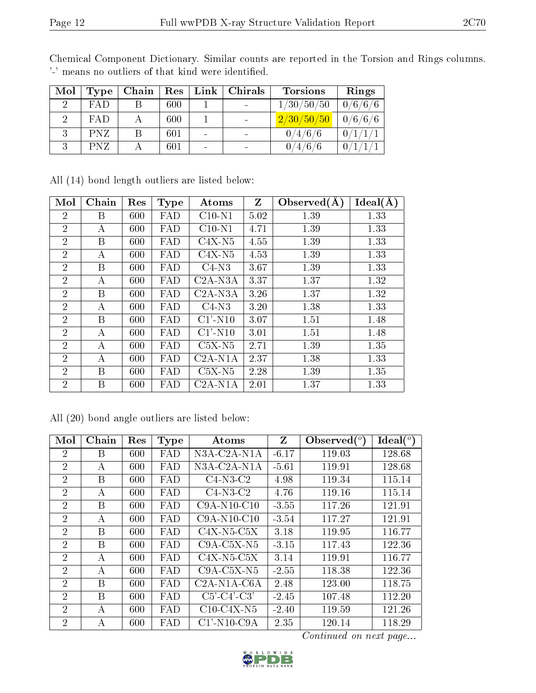| Mol | Type       | Chain | Res | Link                     | Chirals                  | <b>Torsions</b> | Rings   |
|-----|------------|-------|-----|--------------------------|--------------------------|-----------------|---------|
|     | <b>FAD</b> |       | 600 |                          | $\overline{\phantom{0}}$ | 1/30/50/50      | 0/6/6/6 |
|     | FAD        |       | 600 |                          |                          | 2/30/50/50      | 0/6/6/6 |
|     | <b>PNZ</b> |       | 601 |                          |                          | 0/4/6/6         |         |
|     | <b>PNZ</b> |       | 601 | $\overline{\phantom{0}}$ |                          | /6/             |         |

Chemical Component Dictionary. Similar counts are reported in the Torsion and Rings columns. '-' means no outliers of that kind were identified.

|  |  |  |  | All (14) bond length outliers are listed below: |  |  |  |
|--|--|--|--|-------------------------------------------------|--|--|--|
|--|--|--|--|-------------------------------------------------|--|--|--|

| Mol            | Chain | Res | <b>Type</b> | Atoms      | Z    | Observed $(A)$ | Ideal(A) |
|----------------|-------|-----|-------------|------------|------|----------------|----------|
| $\overline{2}$ | B     | 600 | FAD         | $C10-N1$   | 5.02 | 1.39           | 1.33     |
| $\overline{2}$ | A     | 600 | FAD         | $C10-N1$   | 4.71 | 1.39           | 1.33     |
| $\overline{2}$ | B     | 600 | FAD         | $C4X-N5$   | 4.55 | 1.39           | 1.33     |
| $\overline{2}$ | А     | 600 | FAD         | $C4X-N5$   | 4.53 | 1.39           | 1.33     |
| $\overline{2}$ | B     | 600 | FAD         | $C4-N3$    | 3.67 | 1.39           | 1.33     |
| $\overline{2}$ | A     | 600 | FAD         | $C2A-N3A$  | 3.37 | 1.37           | 1.32     |
| $\overline{2}$ | B     | 600 | FAD         | $C2A-N3A$  | 3.26 | 1.37           | 1.32     |
| $\overline{2}$ | А     | 600 | FAD         | $C4-N3$    | 3.20 | 1.38           | 1.33     |
| $\overline{2}$ | B     | 600 | FAD         | $C1'$ -N10 | 3.07 | 1.51           | 1.48     |
| $\overline{2}$ | A     | 600 | FAD         | $C1'$ -N10 | 3.01 | 1.51           | 1.48     |
| $\overline{2}$ | A     | 600 | FAD         | $C5X-N5$   | 2.71 | 1.39           | 1.35     |
| $\overline{2}$ | A     | 600 | FAD         | $C2A-N1A$  | 2.37 | 1.38           | 1.33     |
| $\overline{2}$ | B     | 600 | FAD         | $C5X-N5$   | 2.28 | 1.39           | 1.35     |
| $\overline{2}$ | Β     | 600 | FAD         | $C2A-N1A$  | 2.01 | 1.37           | 1.33     |

All (20) bond angle outliers are listed below:

| Mol            | Chain | Res | <b>Type</b> | Atoms                                              | Z       | Observed $\binom{o}{c}$ | $Ideal(^{\circ})$ |
|----------------|-------|-----|-------------|----------------------------------------------------|---------|-------------------------|-------------------|
| $\overline{2}$ | B     | 600 | FAD         | N3A-C2A-N1A                                        | $-6.17$ | 119.03                  | 128.68            |
| $\overline{2}$ | А     | 600 | FAD         | $N3A$ -C <sub>2</sub> A-N <sub>1</sub> A           | $-5.61$ | 119.91                  | 128.68            |
| $\overline{2}$ | Β     | 600 | FAD         | $C4-N3-C2$                                         | 4.98    | 119.34                  | 115.14            |
| $\overline{2}$ | A     | 600 | FAD         | $C4-N3-C2$                                         | 4.76    | 119.16                  | 115.14            |
| $\overline{2}$ | В     | 600 | FAD         | $C9A-N10-C10$                                      | $-3.55$ | 117.26                  | 121.91            |
| $\overline{2}$ | А     | 600 | FAD         | $C9A-N10-C10$                                      | $-3.54$ | 117.27                  | 121.91            |
| $\overline{2}$ | B     | 600 | FAD         | $C4X-N5-C5X$                                       | 3.18    | 119.95                  | 116.77            |
| $\overline{2}$ | B     | 600 | FAD         | $C9A-C5X-N5$                                       | $-3.15$ | 117.43                  | 122.36            |
| $\overline{2}$ | А     | 600 | FAD         | $C4X-N5-C5X$                                       | 3.14    | 119.91                  | 116.77            |
| $\overline{2}$ | А     | 600 | FAD         | $C9A-C5X-N5$                                       | $-2.55$ | 118.38                  | 122.36            |
| $\overline{2}$ | В     | 600 | FAD         | C <sub>2</sub> A-N <sub>1</sub> A-C <sub>6</sub> A | 2.48    | 123.00                  | 118.75            |
| $\overline{2}$ | В     | 600 | FAD         | $C5'$ - $C4'$ - $C3'$                              | $-2.45$ | 107.48                  | 112.20            |
| $\overline{2}$ | А     | 600 | FAD         | $C10-C4X-N5$                                       | $-2.40$ | 119.59                  | 121.26            |
| $\overline{2}$ | А     | 600 | FAD         | $C1'$ -N <sub>10</sub> -C <sub>9</sub> A           | 2.35    | 120.14                  | 118.29            |

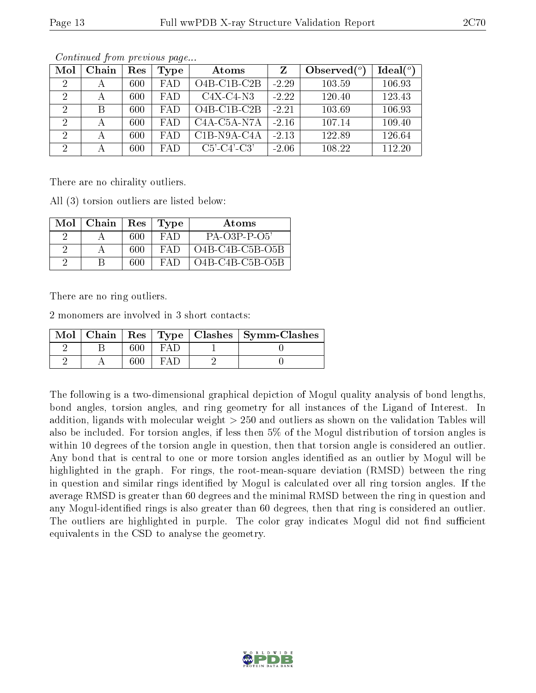| Mol            | Chain | Res | Type       | Atoms                                              | Z       | Observed $(°)$ | Ideal $(°)$ |
|----------------|-------|-----|------------|----------------------------------------------------|---------|----------------|-------------|
| $\overline{2}$ |       | 600 | <b>FAD</b> | $O4B$ -C1B-C2B                                     | $-2.29$ | 103.59         | 106.93      |
|                |       | 600 | <b>FAD</b> | $C4X-C4-N3$                                        | $-2.22$ | 120.40         | 123.43      |
| 2              | В     | 600 | FAD        | $O4B$ -C1B-C2B                                     | $-2.21$ | 103.69         | 106.93      |
| $\overline{2}$ |       | 600 | <b>FAD</b> | C <sub>4</sub> A-C <sub>5</sub> A-N <sub>7</sub> A | $-2.16$ | 107.14         | 109.40      |
| 2              |       | 600 | FA D       | $\overline{C}$ 1B-N9A-C4A                          | $-2.13$ | 122.89         | 126.64      |
| $\overline{2}$ |       | 600 | <b>FAD</b> | $C5'-C4'-C3'$                                      | $-2.06$ | 108.22         | 112.20      |

There are no chirality outliers.

All (3) torsion outliers are listed below:

| Mol | Chain | $\operatorname{Res}% \left( \mathcal{N}\right) \equiv\operatorname{Res}(\mathcal{N}_{0})\cap\mathcal{N}_{1}$ | Type | Atoms             |
|-----|-------|--------------------------------------------------------------------------------------------------------------|------|-------------------|
|     |       | 600                                                                                                          | FAI) | $PA-O3P-P-O5'$    |
|     |       | 600                                                                                                          | FAD  | $O4B-C4B-C5B-O5B$ |
|     |       | 600                                                                                                          | EA F | $O4B-C4B-C5B-O5B$ |

There are no ring outliers.

2 monomers are involved in 3 short contacts:

|  |     | Mol   Chain   Res   Type   Clashes   Symm-Clashes |
|--|-----|---------------------------------------------------|
|  | EAT |                                                   |
|  |     |                                                   |

The following is a two-dimensional graphical depiction of Mogul quality analysis of bond lengths, bond angles, torsion angles, and ring geometry for all instances of the Ligand of Interest. In addition, ligands with molecular weight > 250 and outliers as shown on the validation Tables will also be included. For torsion angles, if less then 5% of the Mogul distribution of torsion angles is within 10 degrees of the torsion angle in question, then that torsion angle is considered an outlier. Any bond that is central to one or more torsion angles identified as an outlier by Mogul will be highlighted in the graph. For rings, the root-mean-square deviation (RMSD) between the ring in question and similar rings identified by Mogul is calculated over all ring torsion angles. If the average RMSD is greater than 60 degrees and the minimal RMSD between the ring in question and any Mogul-identified rings is also greater than 60 degrees, then that ring is considered an outlier. The outliers are highlighted in purple. The color gray indicates Mogul did not find sufficient equivalents in the CSD to analyse the geometry.

![](_page_12_Picture_12.jpeg)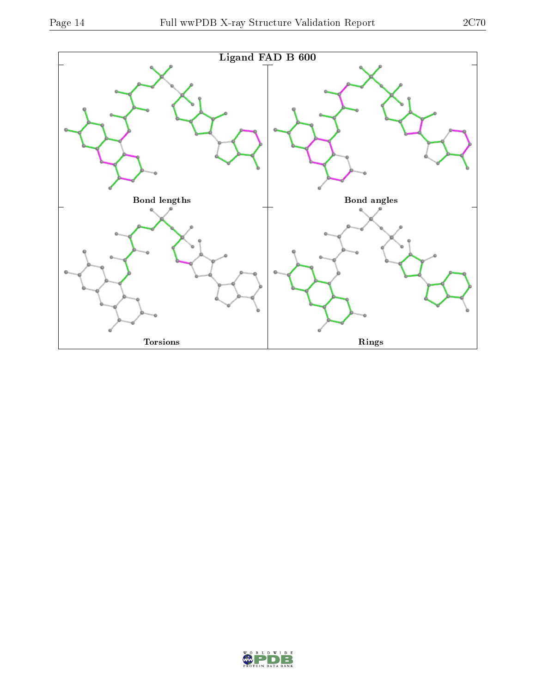![](_page_13_Figure_2.jpeg)

![](_page_13_Picture_4.jpeg)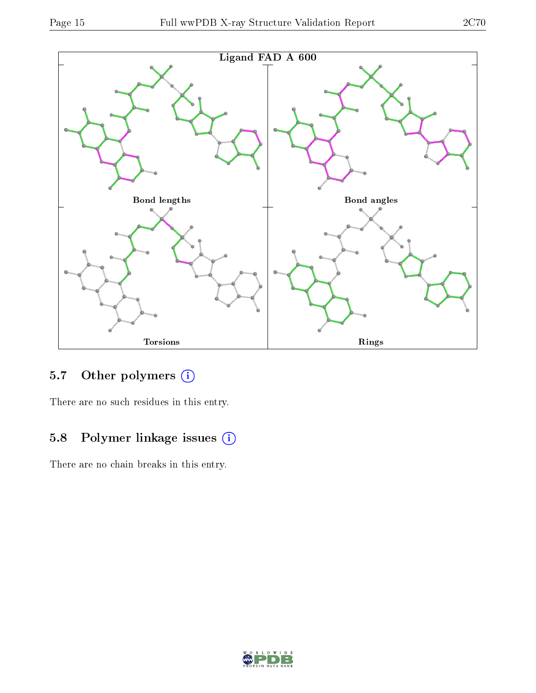![](_page_14_Figure_2.jpeg)

![](_page_14_Figure_3.jpeg)

## 5.7 [O](https://www.wwpdb.org/validation/2017/XrayValidationReportHelp#nonstandard_residues_and_ligands)ther polymers (i)

There are no such residues in this entry.

## 5.8 Polymer linkage issues (i)

There are no chain breaks in this entry.

![](_page_14_Picture_8.jpeg)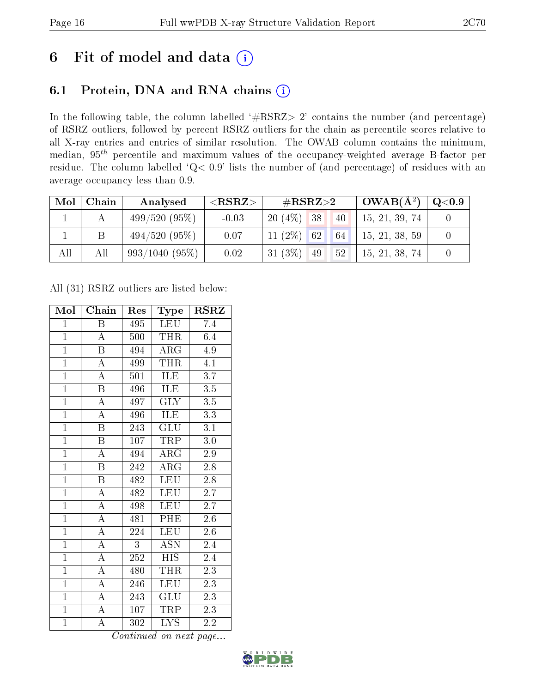## 6 Fit of model and data  $(i)$

## 6.1 Protein, DNA and RNA chains  $(i)$

In the following table, the column labelled  $#RSRZ> 2'$  contains the number (and percentage) of RSRZ outliers, followed by percent RSRZ outliers for the chain as percentile scores relative to all X-ray entries and entries of similar resolution. The OWAB column contains the minimum, median,  $95<sup>th</sup>$  percentile and maximum values of the occupancy-weighted average B-factor per residue. The column labelled ' $Q< 0.9$ ' lists the number of (and percentage) of residues with an average occupancy less than 0.9.

| Mol | Chain | Analysed        | ${ <\hspace{-1.5pt}{\mathrm{RSRZ}} \hspace{-1.5pt}>}$ | $\#\text{RSRZ}{>}2$                 | $\mid$ OWAB( $\rm \AA^2)$ ) | $\mid \text{Q}<$ $0.9$ |
|-----|-------|-----------------|-------------------------------------------------------|-------------------------------------|-----------------------------|------------------------|
|     |       | 499/520(95%)    | $-0.03$                                               | $20(4\%)$ 38<br>40                  | 15, 21, 39, 74              |                        |
|     |       | $494/520(95\%)$ | 0.07                                                  | $11(2\%)$ 62<br>64                  | 15, 21, 38, 59              |                        |
| All | All   | 993/1040(95%)   | 0.02                                                  | 31 $(3\%)$<br>52 <sup>°</sup><br>49 | 15, 21, 38, 74              |                        |

All (31) RSRZ outliers are listed below:

| Mol            | Chain                     | Res | Type                    | <b>RSRZ</b>      |
|----------------|---------------------------|-----|-------------------------|------------------|
| $\mathbf{1}$   | Β                         | 495 | LEU                     | 7.4              |
| $\mathbf{1}$   | $\mathbf A$               | 500 | THR                     | 6.4              |
| $\overline{1}$ | B                         | 494 | $\rm{ARG}$              | 4.9              |
| $\overline{1}$ | $\boldsymbol{A}$          | 499 | <b>THR</b>              | 4.1              |
| $\overline{1}$ | $\overline{\rm A}$        | 501 | <b>ILE</b>              | $\overline{3.7}$ |
| $\overline{1}$ | $\boldsymbol{\mathrm{B}}$ | 496 | ILE                     | $\overline{3.5}$ |
| $\overline{1}$ | $\overline{\rm A}$        | 497 | <b>GLY</b>              | $\overline{3.5}$ |
| $\overline{1}$ | $\overline{\rm A}$        | 496 | <b>ILE</b>              | 3.3              |
| $\overline{1}$ | $\overline{\mathrm{B}}$   | 243 | GLU                     | $\overline{3.1}$ |
| $\overline{1}$ | $\overline{\mathrm{B}}$   | 107 | <b>TRP</b>              | 3.0              |
| $\overline{1}$ | $\overline{\rm A}$        | 494 | $\rm{ARG}$              | 2.9              |
| $\overline{1}$ | $\overline{\mathrm{B}}$   | 242 | $\overline{\rm{ARG}}$   | $2.8\,$          |
| $\overline{1}$ | $\overline{\mathrm{B}}$   | 482 | <b>LEU</b>              | 2.8              |
| $\overline{1}$ | $\overline{\rm A}$        | 482 | <b>LEU</b>              | $2.\overline{7}$ |
| $\overline{1}$ | $\overline{A}$            | 498 | <b>LEU</b>              | 2.7              |
| $\overline{1}$ | $\overline{\rm A}$        | 481 | PHE                     | $2.6\,$          |
| $\overline{1}$ | $\overline{\rm A}$        | 224 | <b>LEU</b>              | $\overline{2.6}$ |
| $\mathbf{1}$   | $\boldsymbol{A}$          | 3   | <b>ASN</b>              | 2.4              |
| $\mathbf{1}$   | $\overline{\rm A}$        | 252 | <b>HIS</b>              | 2.4              |
| $\overline{1}$ | $\overline{\rm A}$        | 480 | <b>THR</b>              | $\overline{2.3}$ |
| $\overline{1}$ | $\boldsymbol{A}$          | 246 | <b>LEU</b>              | 2.3              |
| $\overline{1}$ | A                         | 243 | GLU                     | 2.3              |
| $\overline{1}$ | $\boldsymbol{A}$          | 107 | TRP                     | 2.3              |
| $\overline{1}$ | А                         | 302 | $\overline{\text{LYS}}$ | $2.\overline{2}$ |

![](_page_15_Picture_10.jpeg)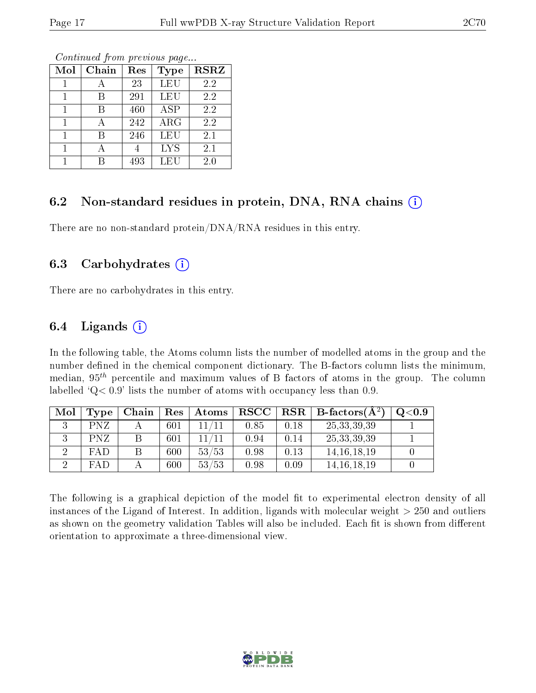| Mol | Chain | Res | <b>Type</b> | $\overline{\text{RSR}}$ |
|-----|-------|-----|-------------|-------------------------|
|     | А     | 23  | LEU         | 2.2                     |
|     | В     | 291 | LEU         | 2.2                     |
|     | В     | 460 | <b>ASP</b>  | 2.2                     |
|     |       | 242 | ARG         | 2.2                     |
| 1   | В     | 246 | LEU         | 2.1                     |
|     |       |     | <b>LYS</b>  | 2.1                     |
|     |       | 493 | LEU         | 2.0                     |

### 6.2 Non-standard residues in protein, DNA, RNA chains  $(i)$

There are no non-standard protein/DNA/RNA residues in this entry.

#### 6.3 Carbohydrates  $(i)$

There are no carbohydrates in this entry.

### 6.4 Ligands  $(i)$

In the following table, the Atoms column lists the number of modelled atoms in the group and the number defined in the chemical component dictionary. The B-factors column lists the minimum, median,  $95<sup>th</sup>$  percentile and maximum values of B factors of atoms in the group. The column labelled  $Q < 0.9$ ' lists the number of atoms with occupancy less than 0.9.

| Mol | Type       | Chain | $\operatorname{Res}% \left( \mathcal{N}\right) \equiv\operatorname{Res}(\mathcal{N}_{0},\mathcal{N}_{0})$ | Atoms | <b>RSCC</b> | <b>RSR</b> | $\mathbf{B}\text{-factors}(\mathbf{A}^2)$ | Q <sub>0.9</sub> |
|-----|------------|-------|-----------------------------------------------------------------------------------------------------------|-------|-------------|------------|-------------------------------------------|------------------|
|     | <b>PNZ</b> |       | 601                                                                                                       |       | 0.85        | 0.18       | 25, 33, 39, 39                            |                  |
|     | <b>PNZ</b> |       | 601                                                                                                       |       | 0.94        | 0.14       | 25, 33, 39, 39                            |                  |
|     | <b>FAD</b> |       | 600                                                                                                       | 53/53 | 0.98        | 0.13       | 14, 16, 18, 19                            |                  |
|     | FAD        |       | 600                                                                                                       | 53/53 | 0.98        | 0.09       | 14, 16, 18, 19                            |                  |

The following is a graphical depiction of the model fit to experimental electron density of all instances of the Ligand of Interest. In addition, ligands with molecular weight  $> 250$  and outliers as shown on the geometry validation Tables will also be included. Each fit is shown from different orientation to approximate a three-dimensional view.

![](_page_16_Picture_13.jpeg)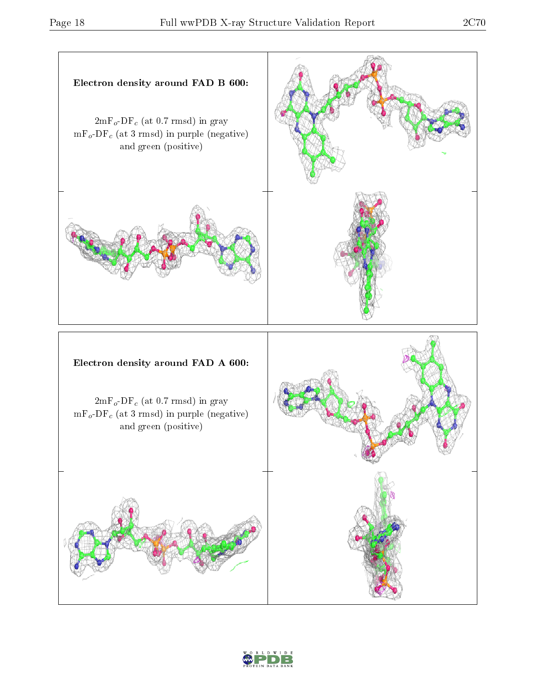![](_page_17_Figure_3.jpeg)

![](_page_17_Picture_4.jpeg)